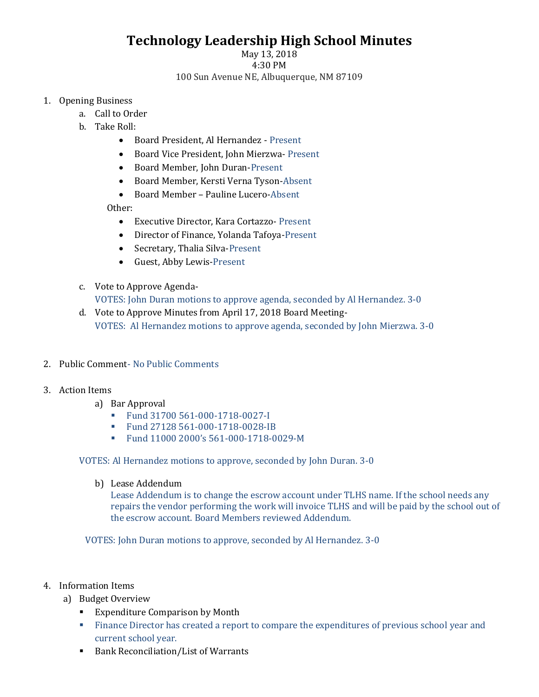## **Technology Leadership High School Minutes**

## May 13, 2018 4:30 PM 100 Sun Avenue NE, Albuquerque, NM 87109

## 1. Opening Business

- a. Call to Order
	- b. Take Roll:
		- Board President, Al Hernandez Present
		- Board Vice President, John Mierzwa- Present
		- Board Member, John Duran-Present
		- Board Member, Kersti Verna Tyson-Absent
		- Board Member Pauline Lucero-Absent

Other:

- Executive Director, Kara Cortazzo- Present
- Director of Finance, Yolanda Tafoya-Present
- Secretary, Thalia Silva-Present
- Guest, Abby Lewis-Present
- c. Vote to Approve Agenda-VOTES: John Duran motions to approve agenda, seconded by Al Hernandez. 3-0
- d. Vote to Approve Minutes from April 17, 2018 Board Meeting-VOTES: Al Hernandez motions to approve agenda, seconded by John Mierzwa. 3-0
- 2. Public Comment- No Public Comments
- 3. Action Items
	- a) Bar Approval
		- Fund 31700 561-000-1718-0027-I
		- Fund 27128 561-000-1718-0028-IB
		- Fund 11000 2000's 561-000-1718-0029-M

VOTES: Al Hernandez motions to approve, seconded by John Duran. 3-0

b) Lease Addendum

Lease Addendum is to change the escrow account under TLHS name. If the school needs any repairs the vendor performing the work will invoice TLHS and will be paid by the school out of the escrow account. Board Members reviewed Addendum.

VOTES: John Duran motions to approve, seconded by Al Hernandez. 3-0

- 4. Information Items
	- a) Budget Overview
		- Expenditure Comparison by Month
		- Finance Director has created a report to compare the expenditures of previous school year and current school year.
		- Bank Reconciliation/List of Warrants